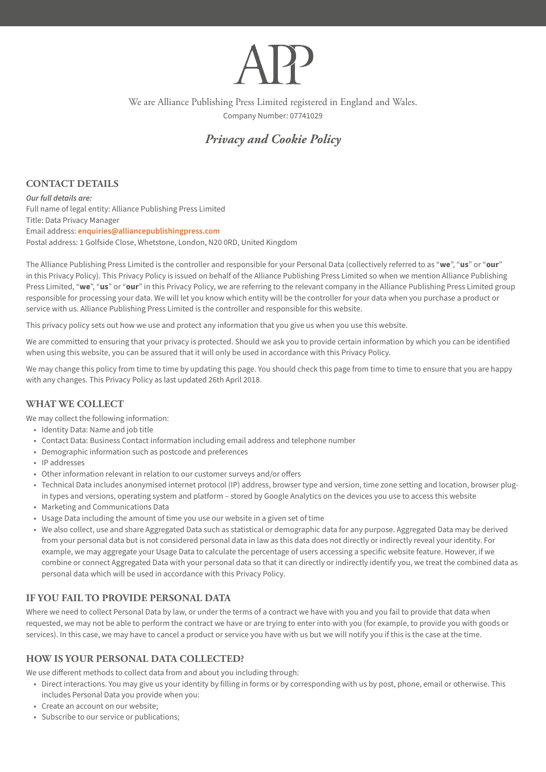We are Alliance Publishing Press Limited registered in England and Wales. Company Number: 07741029

# *Privacy and Cookie Policy*

## **CONTACT DETAILS**

*Our full details are:* Full name of legal entity: Alliance Publishing Press Limited Title: Data Privacy Manager Email address: **[enquiries@alliancepublishingpress.com](mailto:enquiries@alliancepublishingpress.com)** Postal address: 1 Golfside Close, Whetstone, London, N20 0RD, United Kingdom

The Alliance Publishing Press Limited is the controller and responsible for your Personal Data (collectively referred to as "**we**", "**us**" or "**our**" in this Privacy Policy). This Privacy Policy is issued on behalf of the Alliance Publishing Press Limited so when we mention Alliance Publishing Press Limited, "**we**", "**us**" or "**our**" in this Privacy Policy, we are referring to the relevant company in the Alliance Publishing Press Limited group responsible for processing your data. We will let you know which entity will be the controller for your data when you purchase a product or service with us. Alliance Publishing Press Limited is the controller and responsible for this website.

This privacy policy sets out how we use and protect any information that you give us when you use this website.

We are committed to ensuring that your privacy is protected. Should we ask you to provide certain information by which you can be identified when using this website, you can be assured that it will only be used in accordance with this Privacy Policy.

We may change this policy from time to time by updating this page. You should check this page from time to time to ensure that you are happy with any changes. This Privacy Policy as last updated 26th April 2018.

## **WHAT WE COLLECT**

We may collect the following information:

- • Identity Data: Name and job title
- • Contact Data: Business Contact information including email address and telephone number
- • Demographic information such as postcode and preferences
- • IP addresses
- Other information relevant in relation to our customer surveys and/or offers
- Technical Data includes anonymised internet protocol (IP) address, browser type and version, time zone setting and location, browser plugin types and versions, operating system and platform – stored by Google Analytics on the devices you use to access this website
- • Marketing and Communications Data
- Usage Data including the amount of time you use our website in a given set of time
- • We also collect, use and share Aggregated Data such as statistical or demographic data for any purpose. Aggregated Data may be derived from your personal data but is not considered personal data in law as this data does not directly or indirectly reveal your identity. For example, we may aggregate your Usage Data to calculate the percentage of users accessing a specific website feature. However, if we combine or connect Aggregated Data with your personal data so that it can directly or indirectly identify you, we treat the combined data as personal data which will be used in accordance with this Privacy Policy.

## **IF YOU FAIL TO PROVIDE PERSONAL DATA**

Where we need to collect Personal Data by law, or under the terms of a contract we have with you and you fail to provide that data when requested, we may not be able to perform the contract we have or are trying to enter into with you (for example, to provide you with goods or services). In this case, we may have to cancel a product or service you have with us but we will notify you if this is the case at the time.

## **HOW IS YOUR PERSONAL DATA COLLECTED?**

We use different methods to collect data from and about you including through:

- • Direct interactions. You may give us your identity by filling in forms or by corresponding with us by post, phone, email or otherwise. This includes Personal Data you provide when you:
- • Create an account on our website;
- Subscribe to our service or publications;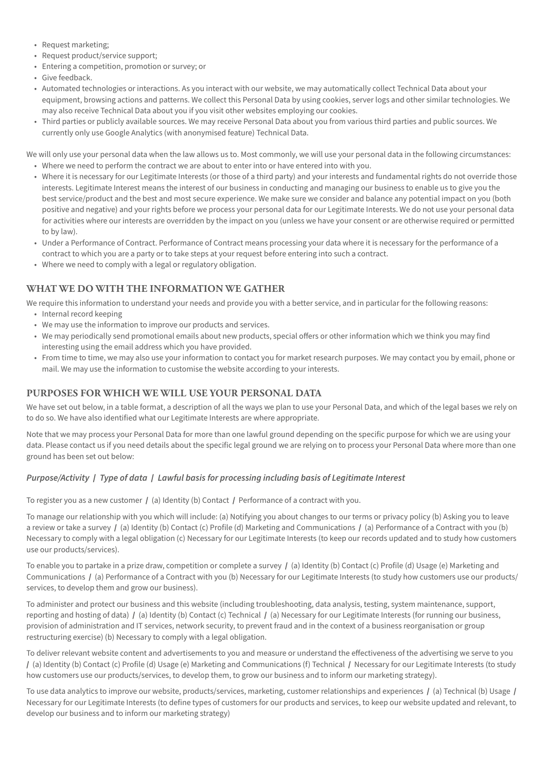- • Request marketing;
- • Request product/service support;
- Entering a competition, promotion or survey; or
- • Give feedback.
- • Automated technologies or interactions. As you interact with our website, we may automatically collect Technical Data about your equipment, browsing actions and patterns. We collect this Personal Data by using cookies, server logs and other similar technologies. We may also receive Technical Data about you if you visit other websites employing our cookies.
- • Third parties or publicly available sources. We may receive Personal Data about you from various third parties and public sources. We currently only use Google Analytics (with anonymised feature) Technical Data.

We will only use your personal data when the law allows us to. Most commonly, we will use your personal data in the following circumstances: • Where we need to perform the contract we are about to enter into or have entered into with you.

- Where it is necessary for our Legitimate Interests (or those of a third party) and your interests and fundamental rights do not override those interests. Legitimate Interest means the interest of our business in conducting and managing our business to enable us to give you the best service/product and the best and most secure experience. We make sure we consider and balance any potential impact on you (both positive and negative) and your rights before we process your personal data for our Legitimate Interests. We do not use your personal data for activities where our interests are overridden by the impact on you (unless we have your consent or are otherwise required or permitted to by law).
- • Under a Performance of Contract. Performance of Contract means processing your data where it is necessary for the performance of a contract to which you are a party or to take steps at your request before entering into such a contract.
- Where we need to comply with a legal or regulatory obligation.

## **WHAT WE DO WITH THE INFORMATION WE GATHER**

We require this information to understand your needs and provide you with a better service, and in particular for the following reasons:

- Internal record keeping
- • We may use the information to improve our products and services.
- • We may periodically send promotional emails about new products, special offers or other information which we think you may find interesting using the email address which you have provided.
- • From time to time, we may also use your information to contact you for market research purposes. We may contact you by email, phone or mail. We may use the information to customise the website according to your interests.

## **PURPOSES FOR WHICH WE WILL USE YOUR PERSONAL DATA**

We have set out below, in a table format, a description of all the ways we plan to use your Personal Data, and which of the legal bases we rely on to do so. We have also identified what our Legitimate Interests are where appropriate.

Note that we may process your Personal Data for more than one lawful ground depending on the specific purpose for which we are using your data. Please contact us if you need details about the specific legal ground we are relying on to process your Personal Data where more than one ground has been set out below:

## *Purpose/Activity* **/** *Type of data* **/** *Lawful basis for processing including basis of Legitimate Interest*

To register you as a new customer **/** (a) Identity (b) Contact **/** Performance of a contract with you.

To manage our relationship with you which will include: (a) Notifying you about changes to our terms or privacy policy (b) Asking you to leave a review or take a survey **/** (a) Identity (b) Contact (c) Profile (d) Marketing and Communications **/** (a) Performance of a Contract with you (b) Necessary to comply with a legal obligation (c) Necessary for our Legitimate Interests (to keep our records updated and to study how customers use our products/services).

To enable you to partake in a prize draw, competition or complete a survey **/** (a) Identity (b) Contact (c) Profile (d) Usage (e) Marketing and Communications **/** (a) Performance of a Contract with you (b) Necessary for our Legitimate Interests (to study how customers use our products/ services, to develop them and grow our business).

To administer and protect our business and this website (including troubleshooting, data analysis, testing, system maintenance, support, reporting and hosting of data) **/** (a) Identity (b) Contact (c) Technical **/** (a) Necessary for our Legitimate Interests (for running our business, provision of administration and IT services, network security, to prevent fraud and in the context of a business reorganisation or group restructuring exercise) (b) Necessary to comply with a legal obligation.

To deliver relevant website content and advertisements to you and measure or understand the effectiveness of the advertising we serve to you **/** (a) Identity (b) Contact (c) Profile (d) Usage (e) Marketing and Communications (f) Technical **/** Necessary for our Legitimate Interests (to study how customers use our products/services, to develop them, to grow our business and to inform our marketing strategy).

To use data analytics to improve our website, products/services, marketing, customer relationships and experiences **/** (a) Technical (b) Usage **/** Necessary for our Legitimate Interests (to define types of customers for our products and services, to keep our website updated and relevant, to develop our business and to inform our marketing strategy)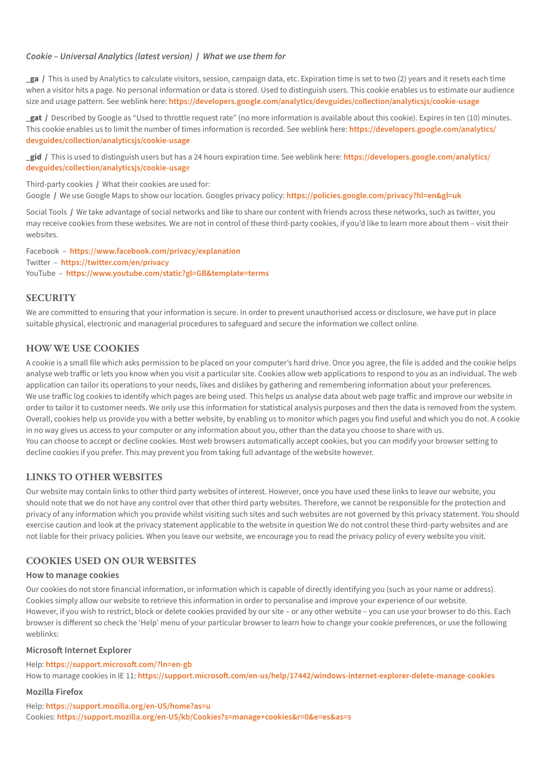#### *Cookie – Universal Analytics (latest version)* **/** *What we use them for*

**\_ga /** This is used by Analytics to calculate visitors, session, campaign data, etc. Expiration time is set to two (2) years and it resets each time when a visitor hits a page. No personal information or data is stored. Used to distinguish users. This cookie enables us to estimate our audience size and usage pattern. See weblink here: **<https://developers.google.com/analytics/devguides/collection/analyticsjs/cookie-usage>**

**\_gat /** Described by Google as "Used to throttle request rate" (no more information is available about this cookie). Expires in ten (10) minutes. This cookie enables us to limit the number of times information is recorded. See weblink here: **[https://developers.google.com/analytics/](https://developers.google.com/analytics/devguides/collection/analyticsjs/cookie-usage) [devguides/collection/analyticsjs/cookie-usage](https://developers.google.com/analytics/devguides/collection/analyticsjs/cookie-usage)**

**\_gid /** This is used to distinguish users but has a 24 hours expiration time. See weblink here: **[https://developers.google.com/analytics/](https://developers.google.com/analytics/devguides/collection/analyticsjs/cookie-usage) [devguides/collection/analyticsjs/cookie-usag](https://developers.google.com/analytics/devguides/collection/analyticsjs/cookie-usage)**e

Third-party cookies **/** What their cookies are used for:

Google **/** We use Google Maps to show our location. Googles privacy policy: **<https://policies.google.com/privacy?hl=en&gl=uk>**

Social Tools **/** We take advantage of social networks and like to share our content with friends across these networks, such as twitter, you may receive cookies from these websites. We are not in control of these third-party cookies, if you'd like to learn more about them – visit their websites.

Facebook – **<https://www.facebook.com/privacy/explanation>** Twitter – **<https://twitter.com/en/privacy>** YouTube – **<https://www.youtube.com/static?gl=GB&template=terms>**

## **SECURITY**

We are committed to ensuring that your information is secure. In order to prevent unauthorised access or disclosure, we have put in place suitable physical, electronic and managerial procedures to safeguard and secure the information we collect online.

## **HOW WE USE COOKIES**

A cookie is a small file which asks permission to be placed on your computer's hard drive. Once you agree, the file is added and the cookie helps analyse web traffic or lets you know when you visit a particular site. Cookies allow web applications to respond to you as an individual. The web application can tailor its operations to your needs, likes and dislikes by gathering and remembering information about your preferences. We use traffic log cookies to identify which pages are being used. This helps us analyse data about web page traffic and improve our website in order to tailor it to customer needs. We only use this information for statistical analysis purposes and then the data is removed from the system. Overall, cookies help us provide you with a better website, by enabling us to monitor which pages you find useful and which you do not. A cookie in no way gives us access to your computer or any information about you, other than the data you choose to share with us. You can choose to accept or decline cookies. Most web browsers automatically accept cookies, but you can modify your browser setting to decline cookies if you prefer. This may prevent you from taking full advantage of the website however.

## **LINKS TO OTHER WEBSITES**

Our website may contain links to other third party websites of interest. However, once you have used these links to leave our website, you should note that we do not have any control over that other third party websites. Therefore, we cannot be responsible for the protection and privacy of any information which you provide whilst visiting such sites and such websites are not governed by this privacy statement. You should exercise caution and look at the privacy statement applicable to the website in question We do not control these third-party websites and are not liable for their privacy policies. When you leave our website, we encourage you to read the privacy policy of every website you visit.

## **COOKIES USED ON OUR WEBSITES**

#### **How to manage cookies**

Our cookies do not store financial information, or information which is capable of directly identifying you (such as your name or address). Cookies simply allow our website to retrieve this information in order to personalise and improve your experience of our website. However, if you wish to restrict, block or delete cookies provided by our site – or any other website – you can use your browser to do this. Each browser is different so check the 'Help' menu of your particular browser to learn how to change your cookie preferences, or use the following weblinks:

#### **Microsoft Internet Explorer**

Help: **<https://support.microsoft.com/?ln=en-gb>** How to manage cookies in IE 11: **<https://support.microsoft.com/en-us/help/17442/windows-internet-explorer-delete-manage-cookies>**

#### **Mozilla Firefox**

Help: **<https://support.mozilla.org/en-US/home?as=u>** Cookies: **<https://support.mozilla.org/en-US/kb/Cookies?s=manage+cookies&r=0&e=es&as=s>**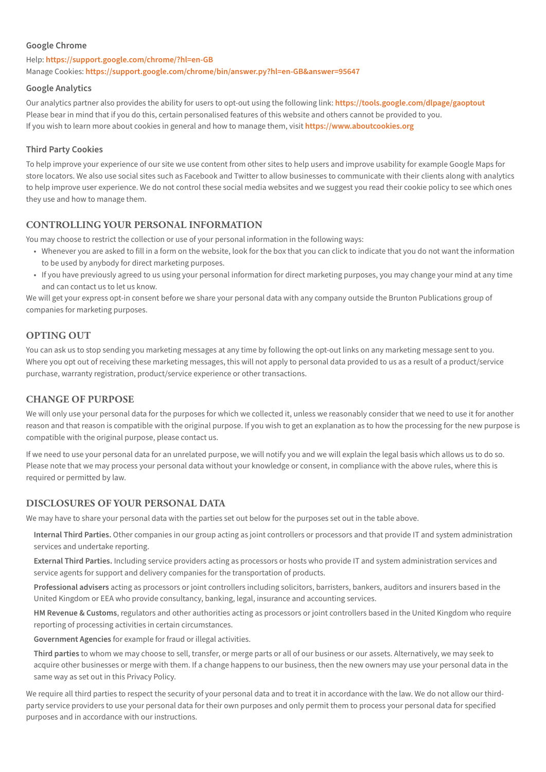#### **Google Chrome**

Help: **<https://support.google.com/chrome/?hl=en-GB>** Manage Cookies: **<https://support.google.com/chrome/bin/answer.py?hl=en-GB&answer=95647>**

#### **Google Analytics**

Our analytics partner also provides the ability for users to opt-out using the following link: **<https://tools.google.com/dlpage/gaoptout>** Please bear in mind that if you do this, certain personalised features of this website and others cannot be provided to you. If you wish to learn more about cookies in general and how to manage them, visit **<https://www.aboutcookies.org>**

#### **Third Party Cookies**

To help improve your experience of our site we use content from other sites to help users and improve usability for example Google Maps for store locators. We also use social sites such as Facebook and Twitter to allow businesses to communicate with their clients along with analytics to help improve user experience. We do not control these social media websites and we suggest you read their cookie policy to see which ones they use and how to manage them.

## **CONTROLLING YOUR PERSONAL INFORMATION**

You may choose to restrict the collection or use of your personal information in the following ways:

- • Whenever you are asked to fill in a form on the website, look for the box that you can click to indicate that you do not want the information to be used by anybody for direct marketing purposes.
- • If you have previously agreed to us using your personal information for direct marketing purposes, you may change your mind at any time and can contact us to let us know.

We will get your express opt-in consent before we share your personal data with any company outside the Brunton Publications group of companies for marketing purposes.

## **OPTING OUT**

You can ask us to stop sending you marketing messages at any time by following the opt-out links on any marketing message sent to you. Where you opt out of receiving these marketing messages, this will not apply to personal data provided to us as a result of a product/service purchase, warranty registration, product/service experience or other transactions.

## **CHANGE OF PURPOSE**

We will only use your personal data for the purposes for which we collected it, unless we reasonably consider that we need to use it for another reason and that reason is compatible with the original purpose. If you wish to get an explanation as to how the processing for the new purpose is compatible with the original purpose, please contact us.

If we need to use your personal data for an unrelated purpose, we will notify you and we will explain the legal basis which allows us to do so. Please note that we may process your personal data without your knowledge or consent, in compliance with the above rules, where this is required or permitted by law.

## **DISCLOSURES OF YOUR PERSONAL DATA**

We may have to share your personal data with the parties set out below for the purposes set out in the table above.

**Internal Third Parties.** Other companies in our group acting as joint controllers or processors and that provide IT and system administration services and undertake reporting.

**External Third Parties.** Including service providers acting as processors or hosts who provide IT and system administration services and service agents for support and delivery companies for the transportation of products.

**Professional advisers** acting as processors or joint controllers including solicitors, barristers, bankers, auditors and insurers based in the United Kingdom or EEA who provide consultancy, banking, legal, insurance and accounting services.

**HM Revenue & Customs**, regulators and other authorities acting as processors or joint controllers based in the United Kingdom who require reporting of processing activities in certain circumstances.

**Government Agencies** for example for fraud or illegal activities.

**Third parties** to whom we may choose to sell, transfer, or merge parts or all of our business or our assets. Alternatively, we may seek to acquire other businesses or merge with them. If a change happens to our business, then the new owners may use your personal data in the same way as set out in this Privacy Policy.

We require all third parties to respect the security of your personal data and to treat it in accordance with the law. We do not allow our thirdparty service providers to use your personal data for their own purposes and only permit them to process your personal data for specified purposes and in accordance with our instructions.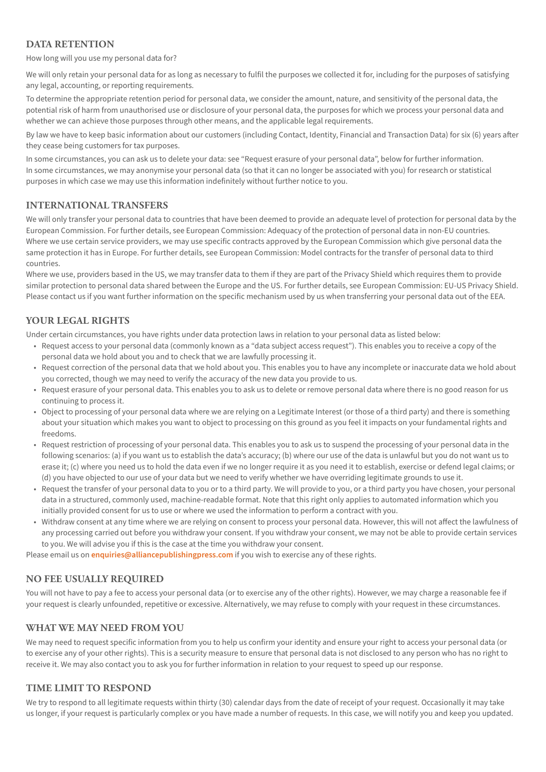## **DATA RETENTION**

How long will you use my personal data for?

We will only retain your personal data for as long as necessary to fulfil the purposes we collected it for, including for the purposes of satisfying any legal, accounting, or reporting requirements.

To determine the appropriate retention period for personal data, we consider the amount, nature, and sensitivity of the personal data, the potential risk of harm from unauthorised use or disclosure of your personal data, the purposes for which we process your personal data and whether we can achieve those purposes through other means, and the applicable legal requirements.

By law we have to keep basic information about our customers (including Contact, Identity, Financial and Transaction Data) for six (6) years after they cease being customers for tax purposes.

In some circumstances, you can ask us to delete your data: see "Request erasure of your personal data", below for further information. In some circumstances, we may anonymise your personal data (so that it can no longer be associated with you) for research or statistical purposes in which case we may use this information indefinitely without further notice to you.

## **INTERNATIONAL TRANSFERS**

We will only transfer your personal data to countries that have been deemed to provide an adequate level of protection for personal data by the European Commission. For further details, see European Commission: Adequacy of the protection of personal data in non-EU countries. Where we use certain service providers, we may use specific contracts approved by the European Commission which give personal data the same protection it has in Europe. For further details, see European Commission: Model contracts for the transfer of personal data to third countries.

Where we use, providers based in the US, we may transfer data to them if they are part of the Privacy Shield which requires them to provide similar protection to personal data shared between the Europe and the US. For further details, see European Commission: EU-US Privacy Shield. Please contact us if you want further information on the specific mechanism used by us when transferring your personal data out of the EEA.

## **YOUR LEGAL RIGHTS**

Under certain circumstances, you have rights under data protection laws in relation to your personal data as listed below:

- • Request access to your personal data (commonly known as a "data subject access request"). This enables you to receive a copy of the personal data we hold about you and to check that we are lawfully processing it.
- • Request correction of the personal data that we hold about you. This enables you to have any incomplete or inaccurate data we hold about you corrected, though we may need to verify the accuracy of the new data you provide to us.
- Request erasure of your personal data. This enables you to ask us to delete or remove personal data where there is no good reason for us continuing to process it.
- Object to processing of your personal data where we are relying on a Legitimate Interest (or those of a third party) and there is something about your situation which makes you want to object to processing on this ground as you feel it impacts on your fundamental rights and freedoms.
- • Request restriction of processing of your personal data. This enables you to ask us to suspend the processing of your personal data in the following scenarios: (a) if you want us to establish the data's accuracy; (b) where our use of the data is unlawful but you do not want us to erase it; (c) where you need us to hold the data even if we no longer require it as you need it to establish, exercise or defend legal claims; or (d) you have objected to our use of your data but we need to verify whether we have overriding legitimate grounds to use it.
- • Request the transfer of your personal data to you or to a third party. We will provide to you, or a third party you have chosen, your personal data in a structured, commonly used, machine-readable format. Note that this right only applies to automated information which you initially provided consent for us to use or where we used the information to perform a contract with you.
- • Withdraw consent at any time where we are relying on consent to process your personal data. However, this will not affect the lawfulness of any processing carried out before you withdraw your consent. If you withdraw your consent, we may not be able to provide certain services to you. We will advise you if this is the case at the time you withdraw your consent.

Please email us on **[enquiries@alliancepublishingpress.com](mailto:enquiries@alliancepublishingpress.com)** if you wish to exercise any of these rights.

## **NO FEE USUALLY REQUIRED**

You will not have to pay a fee to access your personal data (or to exercise any of the other rights). However, we may charge a reasonable fee if your request is clearly unfounded, repetitive or excessive. Alternatively, we may refuse to comply with your request in these circumstances.

## **WHAT WE MAY NEED FROM YOU**

We may need to request specific information from you to help us confirm your identity and ensure your right to access your personal data (or to exercise any of your other rights). This is a security measure to ensure that personal data is not disclosed to any person who has no right to receive it. We may also contact you to ask you for further information in relation to your request to speed up our response.

## **TIME LIMIT TO RESPOND**

We try to respond to all legitimate requests within thirty (30) calendar days from the date of receipt of your request. Occasionally it may take us longer, if your request is particularly complex or you have made a number of requests. In this case, we will notify you and keep you updated.